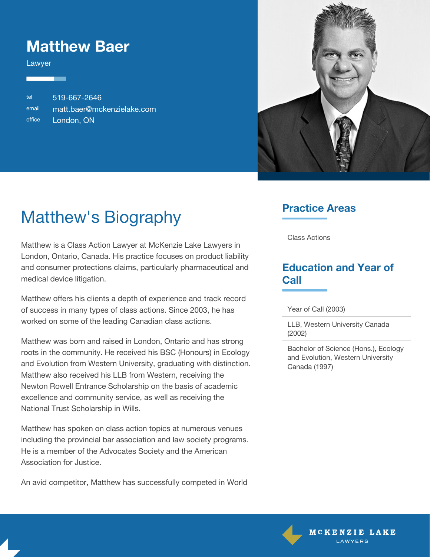### **Matthew Baer**

Lawyer

tel 519-667-2646 email [matt.baer@mckenzielake.com](#page--1-0) office London, ON



# Matthew's Biography

Matthew is a Class Action Lawyer at McKenzie Lake Lawyers in London, Ontario, Canada. His practice focuses on product liability and consumer protections claims, particularly pharmaceutical and medical device litigation.

Matthew offers his clients a depth of experience and track record of success in many types of class actions. Since 2003, he has worked on some of the leading Canadian class actions.

Matthew was born and raised in London, Ontario and has strong roots in the community. He received his BSC (Honours) in Ecology and Evolution from Western University, graduating with distinction. Matthew also received his LLB from Western, receiving the Newton Rowell Entrance Scholarship on the basis of academic excellence and community service, as well as receiving the National Trust Scholarship in Wills.

Matthew has spoken on class action topics at numerous venues including the provincial bar association and law society programs. He is a member of the Advocates Society and the American Association for Justice.

An avid competitor, Matthew has successfully competed in World

#### **Practice Areas**

Class Actions

#### **Education and Year of Call**

Year of Call (2003)

LLB, Western University Canada (2002)

Bachelor of Science (Hons.), Ecology and Evolution, Western University Canada (1997)